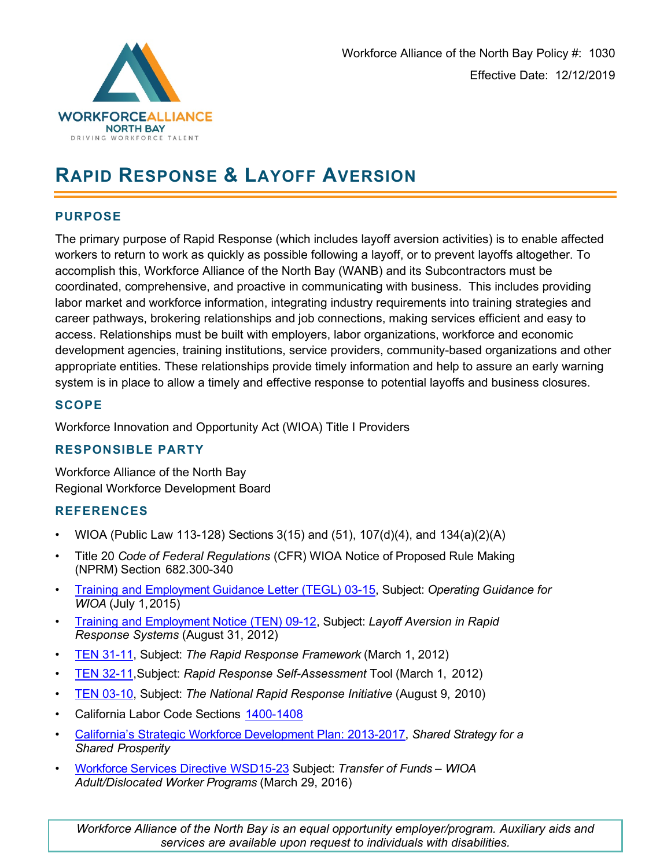

# **RAPID RESPONSE & LAYOFF AVERSION**

# **PURPOSE**

The primary purpose of Rapid Response (which includes layoff aversion activities) is to enable affected workers to return to work as quickly as possible following a layoff, or to prevent layoffs altogether. To accomplish this, Workforce Alliance of the North Bay (WANB) and its Subcontractors must be coordinated, comprehensive, and proactive in communicating with business. This includes providing labor market and workforce information, integrating industry requirements into training strategies and career pathways, brokering relationships and job connections, making services efficient and easy to access. Relationships must be built with employers, labor organizations, workforce and economic development agencies, training institutions, service providers, community-based organizations and other appropriate entities. These relationships provide timely information and help to assure an early warning system is in place to allow a timely and effective response to potential layoffs and business closures.

# **SCOPE**

Workforce Innovation and Opportunity Act (WIOA) Title I Providers

# **RESPONSIBLE PARTY**

Workforce Alliance of the North Bay Regional Workforce Development Board

# **REFERENCES**

- WIOA (Public Law 113-128) Sections 3(15) and (51), 107(d)(4), and 134(a)(2)(A)
- Title 20 *Code of Federal Regulations* (CFR) WIOA Notice of Proposed Rule Making (NPRM) Section 682.300-340
- [Training and Employment Guidance Letter \(TEGL\) 03-15,](http://wdr.doleta.gov/directives/corr_doc.cfm?DOCN=7953) Subject: *Operating Guidance for WIOA* (July 1,2015)
- [Training and Employment Notice \(TEN\) 09-12, S](http://wdr.doleta.gov/directives/corr_doc.cfm?DOCN=3894)ubject: *Layoff Aversion in Rapid Response Systems* (August 31, 2012)
- [TEN 31-11,](http://wdr.doleta.gov/directives/corr_doc.cfm?DOCN=7425) Subject: *The Rapid Response Framework* (March 1, 2012)
- [TEN 32-11,](http://wdr.doleta.gov/directives/corr_doc.cfm?DOCN=4784)Subject: *Rapid Response Self-Assessment* Tool (March 1, 2012)
- [TEN 03-10,](http://wdr.doleta.gov/directives/corr_doc.cfm?DOCN=2931) Subject: *The National Rapid Response Initiative* (August 9, 2010)
- California Labor Code Sections [1400-1408](http://www.leginfo.ca.gov/cgi-bin/displaycode?section=lab&group=01001-02000&file=1400-1408)
- [California's Strategic Workforce Development Plan: 2013-2017,](http://cwdb.ca.gov/plans_policies_state_plans.htm) *Shared Strategy for a Shared Prosperity*
- [Workforce Services Directive WSD15-23](http://www.edd.ca.gov/Jobs_and_Training/pubs/wsd15-23.pdf) Subject: *Transfer of Funds – WIOA Adult/Dislocated Worker Programs* (March 29, 2016)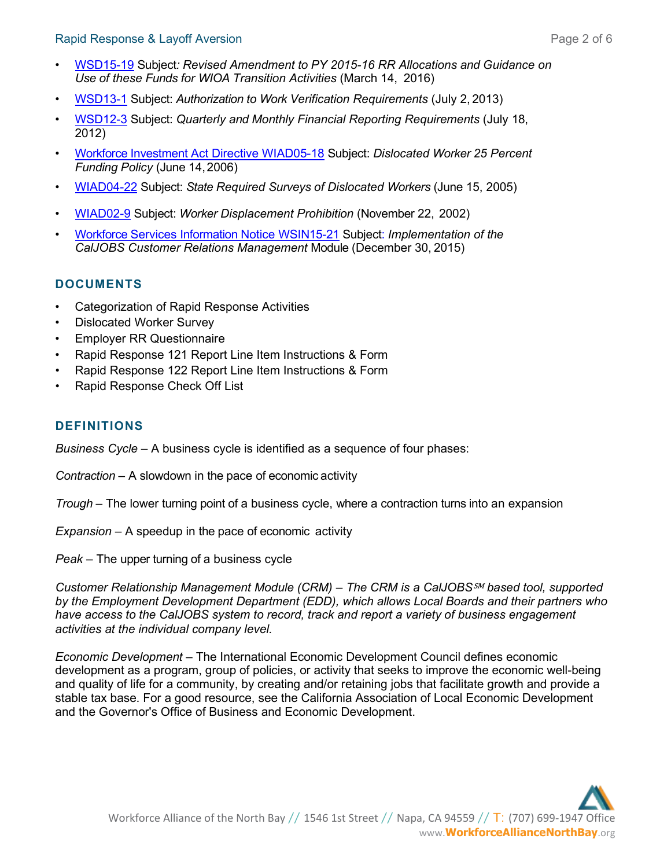- [WSD15-19](http://www.edd.ca.gov/Jobs_and_Training/pubs/wsd15-19.pdf) Subject*: Revised Amendment to PY 2015-16 RR Allocations and Guidance on Use of these Funds for WIOA Transition Activities* (March 14, 2016)
- [WSD13-1](http://www.edd.ca.gov/Jobs_and_Training/pubs/wsd13-1.pdf) Subject: *Authorization to Work Verification Requirements* (July 2, 2013)
- [WSD12-3](http://www.edd.ca.gov/Jobs_and_Training/pubs/wsd12-3.pdf) Subject: *Quarterly and Monthly Financial Reporting Requirements* (July 18, 2012)
- [Workforce Investment Act Directive WIAD05-18](http://www.edd.ca.gov/Jobs_and_Training/pubs/wiad05-18.pdf) Subject: *Dislocated Worker 25 Percent Funding Policy* (June 14,2006)
- [WIAD04-22](http://www.edd.ca.gov/Jobs_and_Training/pubs/wiad04-22.pdf) Subject: *State Required Surveys of Dislocated Workers* (June 15, 2005)
- [WIAD02-9](http://www.edd.ca.gov/Jobs_and_Training/pubs/wiad02-9.pdf) Subject: *Worker Displacement Prohibition* (November 22, 2002)
- [Workforce Services Information Notice WSIN15-21](http://www.edd.ca.gov/Jobs_and_Training/pubs/wsin15-21.pdf) Subject: *Implementation of the CalJOBS Customer Relations Management* Module (December 30, 2015)

# **DOCUMENTS**

- Categorization of Rapid Response Activities
- Dislocated Worker Survey
- Employer RR Questionnaire
- Rapid Response 121 Report Line Item Instructions & Form
- Rapid Response 122 Report Line Item Instructions & Form
- Rapid Response Check Off List

# **DEFINITIONS**

*Business Cycle –* A business cycle is identified as a sequence of four phases:

*Contraction* – A slowdown in the pace of economic activity

*Trough* – The lower turning point of a business cycle, where a contraction turns into an expansion

*Expansion* – A speedup in the pace of economic activity

*Peak* – The upper turning of a business cycle

*Customer Relationship Management Module (CRM) – The CRM is a CalJOBS*℠ *based tool, supported by the Employment Development Department (EDD), which allows Local Boards and their partners who have access to the CalJOBS system to record, track and report a variety of business engagement activities at the individual company level.*

*Economic Development* – The [International Economic Development Council d](http://www.iedconline.org/)efines economic development as a program, group of policies, or activity that seeks to improve the economic well-being and quality of life for a community, by creating and/or retaining jobs that facilitate growth and provide a stable tax base. For a good resource, see the [California Association of](http://caled.org/) [Local Economic Development](http://caled.org/)  and the [Governor's Office of Business and Economic](http://www.business.ca.gov/) [Development.](http://www.business.ca.gov/)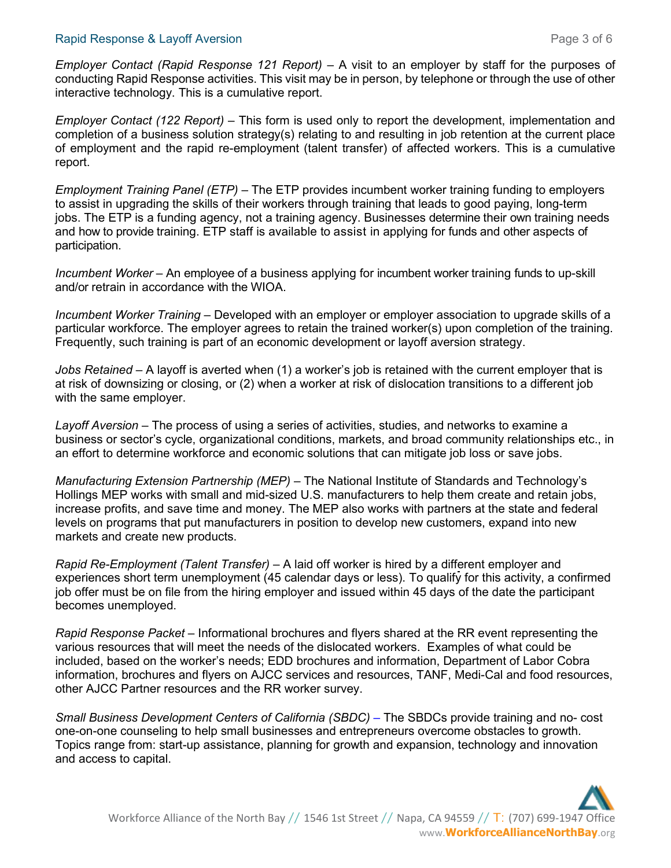#### Rapid Response & Layoff Aversion **Page 3 of 6** and 2 of 6

*Employer Contact (Rapid Response 121 Report) – A visit to an employer by staff for the purposes of* conducting Rapid Response activities. This visit may be in person, by telephone or through the use of other interactive technology. This is a cumulative report.

*Employer Contact (122 Report) –* This form is used only to report the development, implementation and completion of a business solution strategy(s) relating to and resulting in job retention at the current place of employment and the rapid re-employment (talent transfer) of affected workers. This is a cumulative report.

*[Employment Training Panel \(](http://www.etp.ca.gov/)ETP) –* The ETP provides incumbent worker training funding to employers to assist in upgrading the skills of their workers through training that leads to good paying, long-term jobs. The ETP is a funding agency, not a training agency. Businesses determine their own training needs and how to provide training. ETP staff is available to assist in applying for funds and other aspects of participation.

*Incumbent Worker –* An employee of a business applying for incumbent worker training funds to up-skill and/or retrain in accordance with the WIOA.

*Incumbent Worker Training –* Developed with an employer or employer association to upgrade skills of a particular workforce. The employer agrees to retain the trained worker(s) upon completion of the training. Frequently, such training is part of an economic development or layoff aversion strategy.

*Jobs Retained –* A layoff is averted when (1) a worker's job is retained with the current employer that is at risk of downsizing or closing, or (2) when a worker at risk of dislocation transitions to a different job with the same employer.

*Layoff Aversion* – The process of using a series of activities, studies, and networks to examine a business or sector's cycle, organizational conditions, markets, and broad community relationships etc., in an effort to determine workforce and economic solutions that can mitigate job loss or save jobs.

*[Manufacturing Extension Partnership](http://www.nist.gov/mep/) (MEP)* – The National Institute of Standards and Technology's Hollings MEP works with small and mid-sized U.S. manufacturers to help them create and retain jobs, increase profits, and save time and money. The MEP also works with partners at the state and federal levels on programs that put manufacturers in position to develop new customers, expand into new markets and create new products.

*Rapid Re-Employment (Talent Transfer)* – A laid off worker is hired by a different employer and experiences short term unemployment (45 calendar days or less). To qualify for this activity, a confirmed job offer must be on file from the hiring employer and issued within 45 days of the date the participant becomes unemployed.

*Rapid Response Packet –* Informational brochures and flyers shared at the RR event representing the various resources that will meet the needs of the dislocated workers. Examples of what could be included, based on the worker's needs; EDD brochures and information, Department of Labor Cobra information, brochures and flyers on AJCC services and resources, TANF, Medi-Cal and food resources, other AJCC Partner resources and the RR worker survey.

*[Small Business Development Centers of California \(SBDC\)](http://californiasbdc.org/) – The SBDCs provide training and no- cost* one-on-one counseling to help small businesses and entrepreneurs overcome obstacles to growth. Topics range from: start-up assistance, planning for growth and expansion, technology and innovation and access to capital.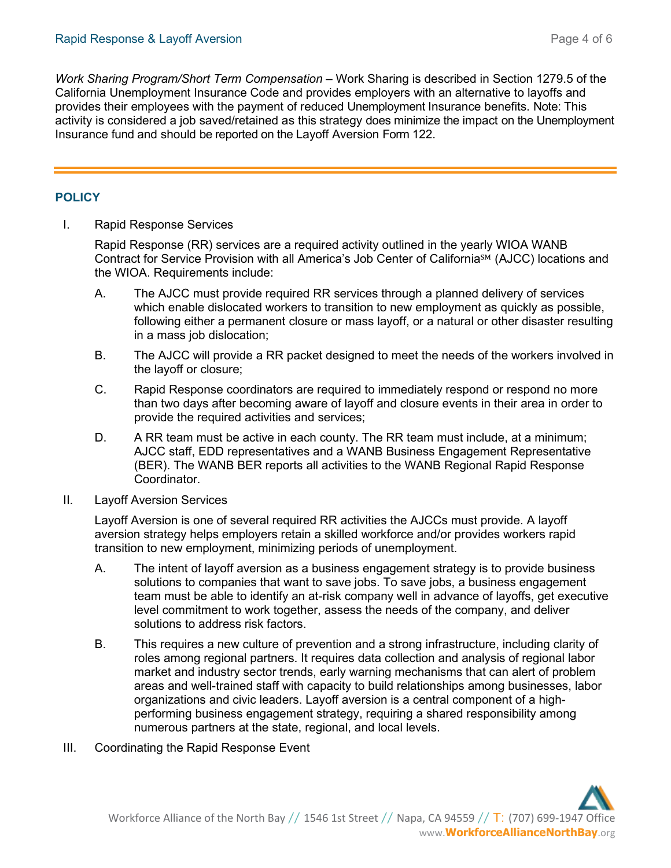*[Work Sharing Program/Short Term Compensation](http://www.edd.ca.gov/Unemployment/Work_Sharing_Claims.htm)* – Work Sharing is described in Section 1279.5 of the California Unemployment Insurance Code and provides employers with an alternative to layoffs and provides their employees with the payment of reduced Unemployment Insurance benefits. Note: This activity is considered a job saved/retained as this strategy does minimize the impact on the Unemployment Insurance fund and should be reported on the Layoff Aversion Form 122.

#### **POLICY**

I. Rapid Response Services

Rapid Response (RR) services are a required activity outlined in the yearly WIOA WANB Contract for Service Provision with all America's Job Center of California℠ (AJCC) locations and the WIOA. Requirements include:

- A. The AJCC must provide required RR services through a planned delivery of services which enable dislocated workers to transition to new employment as quickly as possible, following either a permanent closure or mass layoff, or a natural or other disaster resulting in a mass job dislocation;
- B. The AJCC will provide a RR packet designed to meet the needs of the workers involved in the layoff or closure;
- C. Rapid Response coordinators are required to immediately respond or respond no more than two days after becoming aware of layoff and closure events in their area in order to provide the required activities and services;
- D. A RR team must be active in each county. The RR team must include, at a minimum; AJCC staff, EDD representatives and a WANB Business Engagement Representative (BER). The WANB BER reports all activities to the WANB Regional Rapid Response Coordinator.
- II. Layoff Aversion Services

Layoff Aversion is one of several required RR activities the AJCCs must provide. A layoff aversion strategy helps employers retain a skilled workforce and/or provides workers rapid transition to new employment, minimizing periods of unemployment.

- A. The intent of layoff aversion as a business engagement strategy is to provide business solutions to companies that want to save jobs. To save jobs, a business engagement team must be able to identify an at-risk company well in advance of layoffs, get executive level commitment to work together, assess the needs of the company, and deliver solutions to address risk factors.
- B. This requires a new culture of prevention and a strong infrastructure, including clarity of roles among regional partners. It requires data collection and analysis of regional labor market and industry sector trends, early warning mechanisms that can alert of problem areas and well-trained staff with capacity to build relationships among businesses, labor organizations and civic leaders. Layoff aversion is a central component of a highperforming business engagement strategy, requiring a shared responsibility among numerous partners at the state, regional, and local levels.
- III. Coordinating the Rapid Response Event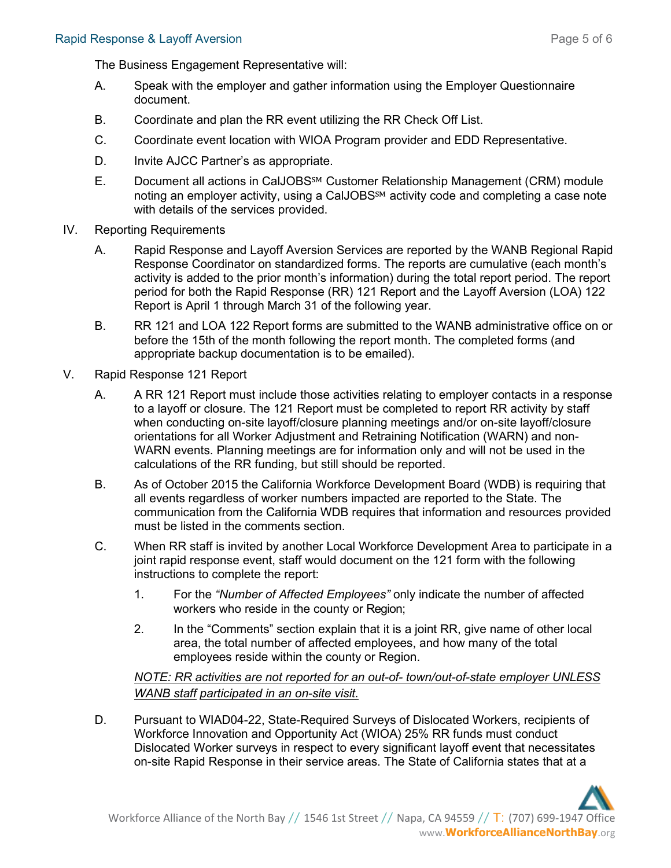The Business Engagement Representative will:

- A. Speak with the employer and gather information using the Employer Questionnaire document.
- B. Coordinate and plan the RR event utilizing the RR Check Off List.
- C. Coordinate event location with WIOA Program provider and EDD Representative.
- D. Invite AJCC Partner's as appropriate.
- E. Document all actions in CalJOBS℠ Customer Relationship Management (CRM) module noting an employer activity, using a CalJOBS<sup>SM</sup> activity code and completing a case note with details of the services provided.
- IV. Reporting Requirements
	- A. Rapid Response and Layoff Aversion Services are reported by the WANB Regional Rapid Response Coordinator on standardized forms. The reports are cumulative (each month's activity is added to the prior month's information) during the total report period. The report period for both the Rapid Response (RR) 121 Report and the Layoff Aversion (LOA) 122 Report is April 1 through March 31 of the following year.
	- B. RR 121 and LOA 122 Report forms are submitted to the WANB administrative office on or before the 15th of the month following the report month. The completed forms (and appropriate backup documentation is to be emailed).
- V. Rapid Response 121 Report
	- A. A RR 121 Report must include those activities relating to employer contacts in a response to a layoff or closure. The 121 Report must be completed to report RR activity by staff when conducting on-site layoff/closure planning meetings and/or on-site layoff/closure orientations for all Worker Adjustment and Retraining Notification (WARN) and non-WARN events. Planning meetings are for information only and will not be used in the calculations of the RR funding, but still should be reported.
	- B. As of October 2015 the California Workforce Development Board (WDB) is requiring that all events regardless of worker numbers impacted are reported to the State. The communication from the California WDB requires that information and resources provided must be listed in the comments section.
	- C. When RR staff is invited by another Local Workforce Development Area to participate in a joint rapid response event, staff would document on the 121 form with the following instructions to complete the report:
		- 1. For the *"Number of Affected Employees"* only indicate the number of affected workers who reside in the county or Region;
		- 2. In the "Comments" section explain that it is a joint RR, give name of other local area, the total number of affected employees, and how many of the total employees reside within the county or Region.

# *NOTE: RR activities are not reported for an out-of- town/out-of-state employer UNLESS WANB staff participated in an on-site visit.*

D. Pursuant to WIAD04-22, State-Required Surveys of Dislocated Workers, recipients of Workforce Innovation and Opportunity Act (WIOA) 25% RR funds must conduct Dislocated Worker surveys in respect to every significant layoff event that necessitates on-site Rapid Response in their service areas. The State of California states that at a